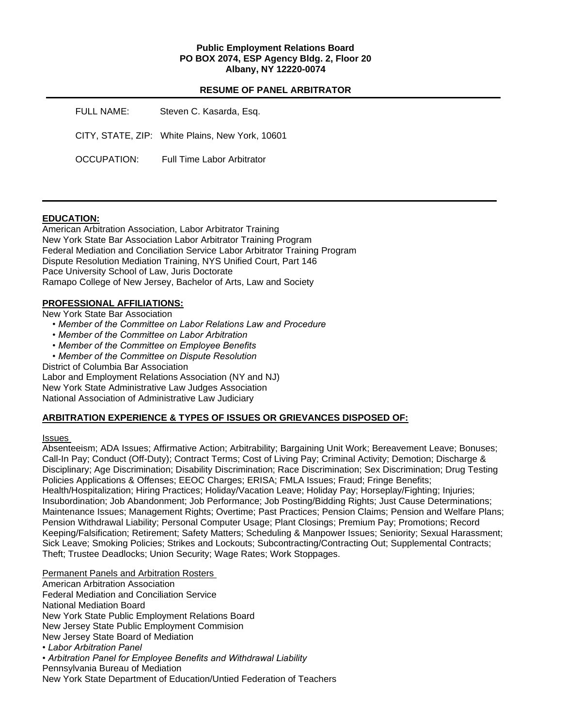## **Public Employment Relations Board PO BOX 2074, ESP Agency Bldg. 2, Floor 20 Albany, NY 12220-0074**

## **RESUME OF PANEL ARBITRATOR**

| FULL NAME:  | Steven C. Kasarda, Esq.                         |
|-------------|-------------------------------------------------|
|             | CITY, STATE, ZIP: White Plains, New York, 10601 |
| OCCUPATION: | <b>Full Time Labor Arbitrator</b>               |

## **EDUCATION:**

American Arbitration Association, Labor Arbitrator Training New York State Bar Association Labor Arbitrator Training Program Federal Mediation and Conciliation Service Labor Arbitrator Training Program Dispute Resolution Mediation Training, NYS Unified Court, Part 146 Pace University School of Law, Juris Doctorate Ramapo College of New Jersey, Bachelor of Arts, Law and Society

## **PROFESSIONAL AFFILIATIONS:**

New York State Bar Association

- *Member of the Committee on Labor Relations Law and Procedure*
- *Member of the Committee on Labor Arbitration*
- *Member of the Committee on Employee Benefits*
- *Member of the Committee on Dispute Resolution*

District of Columbia Bar Association

Labor and Employment Relations Association (NY and NJ)

New York State Administrative Law Judges Association

National Association of Administrative Law Judiciary

## **ARBITRATION EXPERIENCE & TYPES OF ISSUES OR GRIEVANCES DISPOSED OF:**

#### Issues

Absenteeism; ADA Issues; Affirmative Action; Arbitrability; Bargaining Unit Work; Bereavement Leave; Bonuses; Call-In Pay; Conduct (Off-Duty); Contract Terms; Cost of Living Pay; Criminal Activity; Demotion; Discharge & Disciplinary; Age Discrimination; Disability Discrimination; Race Discrimination; Sex Discrimination; Drug Testing Policies Applications & Offenses; EEOC Charges; ERISA; FMLA Issues; Fraud; Fringe Benefits; Health/Hospitalization; Hiring Practices; Holiday/Vacation Leave; Holiday Pay; Horseplay/Fighting; Injuries; Insubordination; Job Abandonment; Job Performance; Job Posting/Bidding Rights; Just Cause Determinations; Maintenance Issues; Management Rights; Overtime; Past Practices; Pension Claims; Pension and Welfare Plans; Pension Withdrawal Liability; Personal Computer Usage; Plant Closings; Premium Pay; Promotions; Record Keeping/Falsification; Retirement; Safety Matters; Scheduling & Manpower Issues; Seniority; Sexual Harassment; Sick Leave; Smoking Policies; Strikes and Lockouts; Subcontracting/Contracting Out; Supplemental Contracts; Theft; Trustee Deadlocks; Union Security; Wage Rates; Work Stoppages.

Permanent Panels and Arbitration Rosters American Arbitration Association Federal Mediation and Conciliation Service National Mediation Board New York State Public Employment Relations Board New Jersey State Public Employment Commision New Jersey State Board of Mediation *• Labor Arbitration Panel • Arbitration Panel for Employee Benefits and Withdrawal Liability* Pennsylvania Bureau of Mediation New York State Department of Education/Untied Federation of Teachers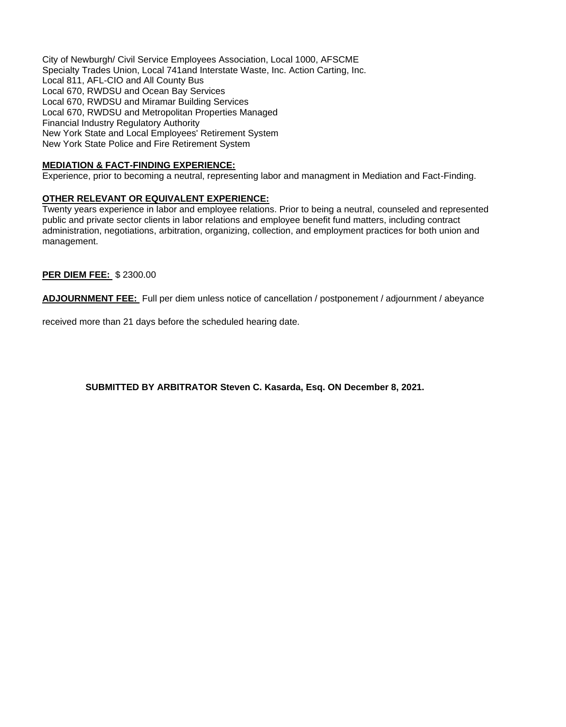City of Newburgh/ Civil Service Employees Association, Local 1000, AFSCME Specialty Trades Union, Local 741and Interstate Waste, Inc. Action Carting, Inc. Local 811, AFL-CIO and All County Bus Local 670, RWDSU and Ocean Bay Services Local 670, RWDSU and Miramar Building Services Local 670, RWDSU and Metropolitan Properties Managed Financial Industry Regulatory Authority New York State and Local Employees' Retirement System New York State Police and Fire Retirement System

## **MEDIATION & FACT-FINDING EXPERIENCE:**

Experience, prior to becoming a neutral, representing labor and managment in Mediation and Fact-Finding.

## **OTHER RELEVANT OR EQUIVALENT EXPERIENCE:**

Twenty years experience in labor and employee relations. Prior to being a neutral, counseled and represented public and private sector clients in labor relations and employee benefit fund matters, including contract administration, negotiations, arbitration, organizing, collection, and employment practices for both union and management.

### **PER DIEM FEE:** \$ 2300.00

**ADJOURNMENT FEE:** Full per diem unless notice of cancellation / postponement / adjournment / abeyance

received more than 21 days before the scheduled hearing date.

**SUBMITTED BY ARBITRATOR Steven C. Kasarda, Esq. ON December 8, 2021.**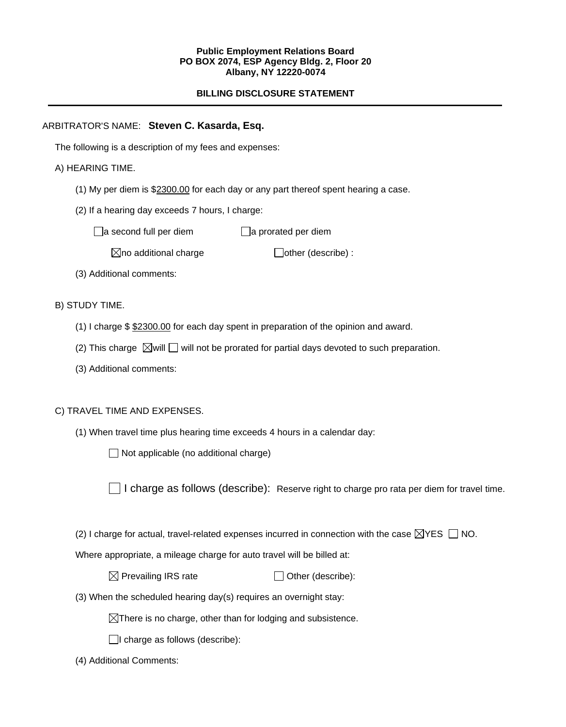### **Public Employment Relations Board PO BOX 2074, ESP Agency Bldg. 2, Floor 20 Albany, NY 12220-0074**

# **BILLING DISCLOSURE STATEMENT**

# ARBITRATOR'S NAME: **Steven C. Kasarda, Esq.**

The following is a description of my fees and expenses:

## A) HEARING TIME.

- (1) My per diem is \$2300.00 for each day or any part thereof spent hearing a case.
- (2) If a hearing day exceeds 7 hours, I charge:

 $\Box$ a second full per diem  $\Box$ a prorated per diem

 $\boxtimes$ no additional charge  $\Box$ other (describe) :

(3) Additional comments:

B) STUDY TIME.

- (1) I charge \$ \$2300.00 for each day spent in preparation of the opinion and award.
- (2) This charge  $\boxtimes$  will  $\Box$  will not be prorated for partial days devoted to such preparation.
- (3) Additional comments:

## C) TRAVEL TIME AND EXPENSES.

(1) When travel time plus hearing time exceeds 4 hours in a calendar day:

 $\Box$  Not applicable (no additional charge)

I charge as follows (describe): Reserve right to charge pro rata per diem for travel time.

(2) I charge for actual, travel-related expenses incurred in connection with the case  $\boxtimes$ YES  $\Box$  NO.

Where appropriate, a mileage charge for auto travel will be billed at:

 $\boxtimes$  Prevailing IRS rate  $\Box$  Other (describe):

(3) When the scheduled hearing day(s) requires an overnight stay:

 $\boxtimes$ There is no charge, other than for lodging and subsistence.

 $\Box$ I charge as follows (describe):

(4) Additional Comments: